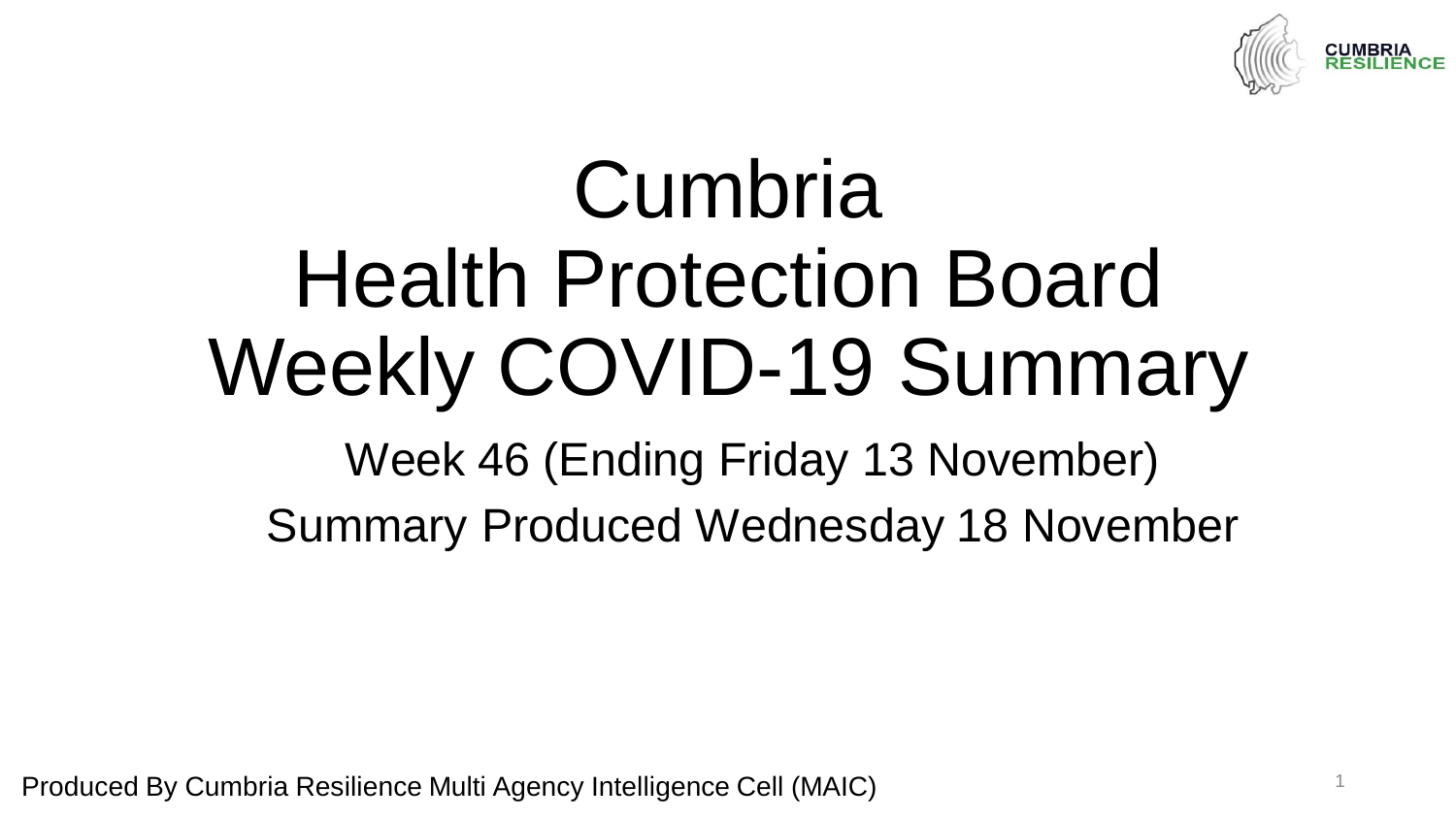

# Cumbria Health Protection Board Weekly COVID-19 Summary

Week 46 (Ending Friday 13 November) Summary Produced Wednesday 18 November

Produced By Cumbria Resilience Multi Agency Intelligence Cell (MAIC) <sup>1</sup>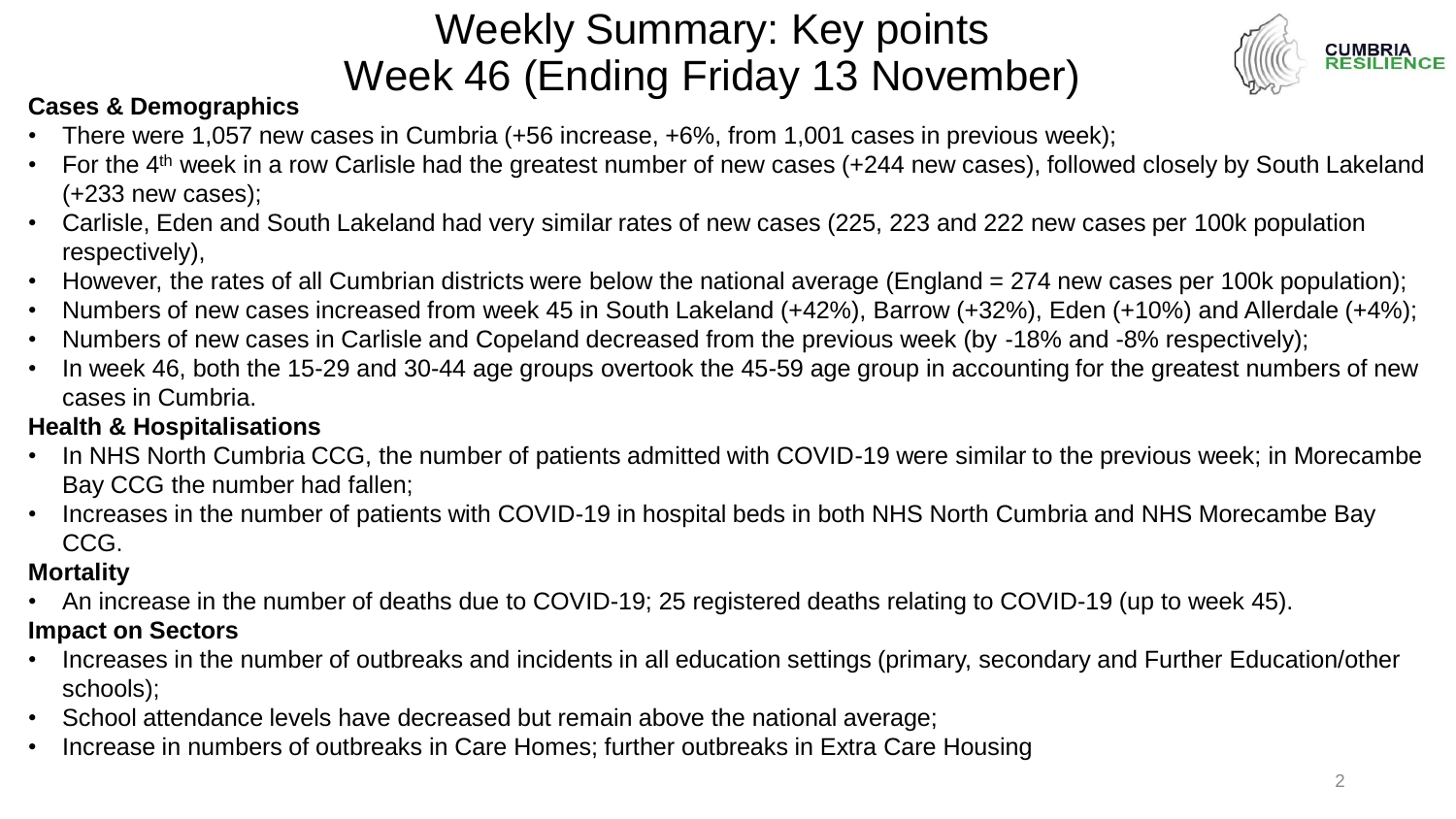### Weekly Summary: Key points Week 46 (Ending Friday 13 November)



#### **Cases & Demographics**

- There were 1,057 new cases in Cumbria (+56 increase, +6%, from 1,001 cases in previous week);
- For the 4th week in a row Carlisle had the greatest number of new cases (+244 new cases), followed closely by South Lakeland (+233 new cases);
- Carlisle, Eden and South Lakeland had very similar rates of new cases (225, 223 and 222 new cases per 100k population respectively),
- However, the rates of all Cumbrian districts were below the national average (England = 274 new cases per 100k population);
- Numbers of new cases increased from week 45 in South Lakeland (+42%), Barrow (+32%), Eden (+10%) and Allerdale (+4%);
- Numbers of new cases in Carlisle and Copeland decreased from the previous week (by -18% and -8% respectively);
- In week 46, both the 15-29 and 30-44 age groups overtook the 45-59 age group in accounting for the greatest numbers of new cases in Cumbria.

#### **Health & Hospitalisations**

- In NHS North Cumbria CCG, the number of patients admitted with COVID-19 were similar to the previous week; in Morecambe Bay CCG the number had fallen;
- Increases in the number of patients with COVID-19 in hospital beds in both NHS North Cumbria and NHS Morecambe Bay CCG.

#### **Mortality**

- An increase in the number of deaths due to COVID-19; 25 registered deaths relating to COVID-19 (up to week 45). **Impact on Sectors**
- Increases in the number of outbreaks and incidents in all education settings (primary, secondary and Further Education/other schools);
- School attendance levels have decreased but remain above the national average;
- Increase in numbers of outbreaks in Care Homes; further outbreaks in Extra Care Housing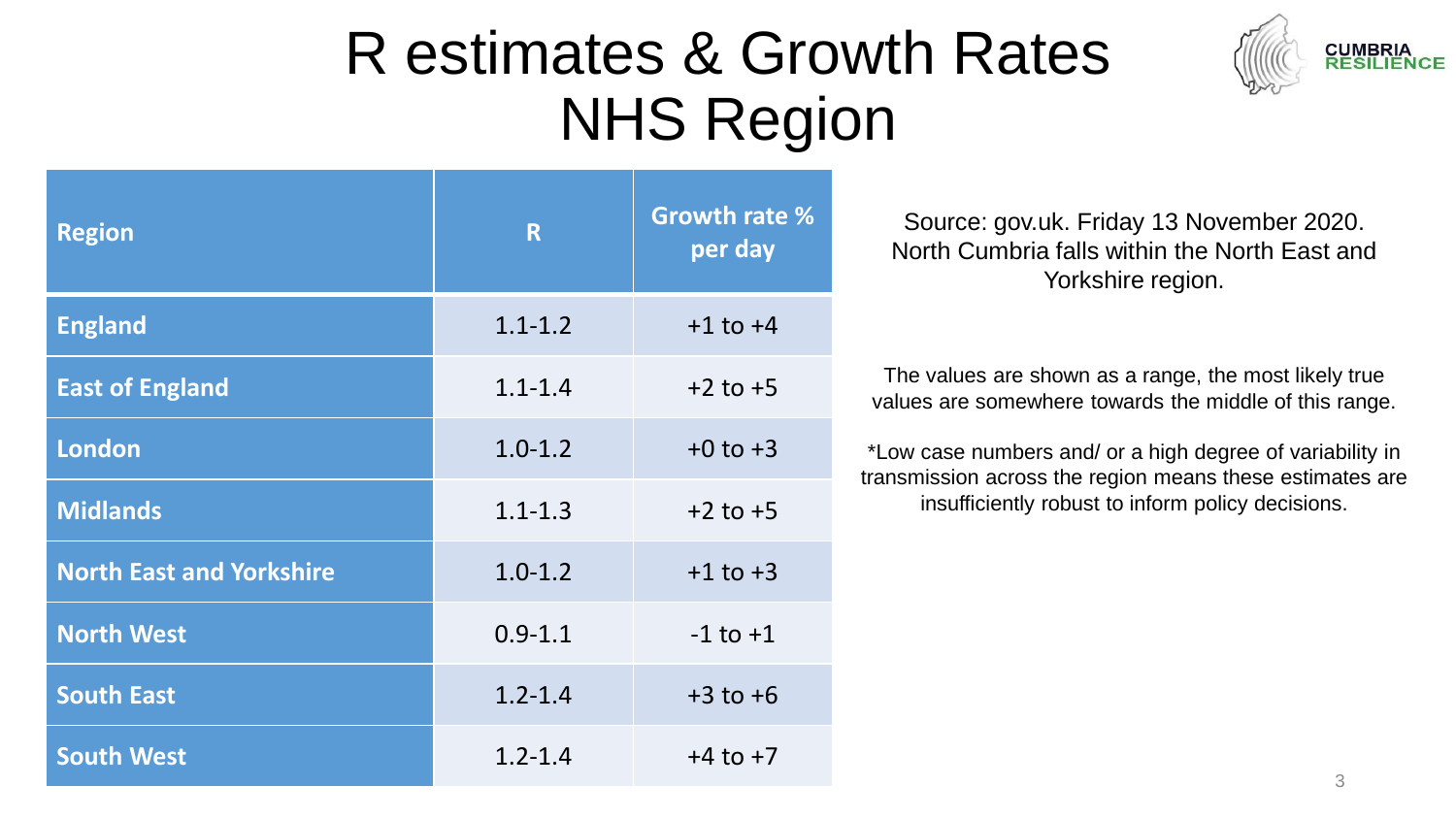## R estimates & Growth Rates NHS Region



| <b>Region</b>                   | R           | <b>Growth rate %</b><br>per day |  |
|---------------------------------|-------------|---------------------------------|--|
| <b>England</b>                  | $1.1 - 1.2$ | $+1$ to $+4$                    |  |
| <b>East of England</b>          | $1.1 - 1.4$ | $+2$ to $+5$                    |  |
| <b>London</b>                   | $1.0 - 1.2$ | $+0$ to $+3$                    |  |
| <b>Midlands</b>                 | $1.1 - 1.3$ | $+2$ to $+5$                    |  |
| <b>North East and Yorkshire</b> | $1.0 - 1.2$ | $+1$ to $+3$                    |  |
| <b>North West</b>               | $0.9 - 1.1$ | $-1$ to $+1$                    |  |
| <b>South East</b>               | $1.2 - 1.4$ | $+3$ to $+6$                    |  |
| <b>South West</b>               | $1.2 - 1.4$ | $+4$ to $+7$                    |  |

Source: gov.uk. Friday 13 November 2020. North Cumbria falls within the North East and Yorkshire region.

The values are shown as a range, the most likely true values are somewhere towards the middle of this range.

\*Low case numbers and/ or a high degree of variability in transmission across the region means these estimates are insufficiently robust to inform policy decisions.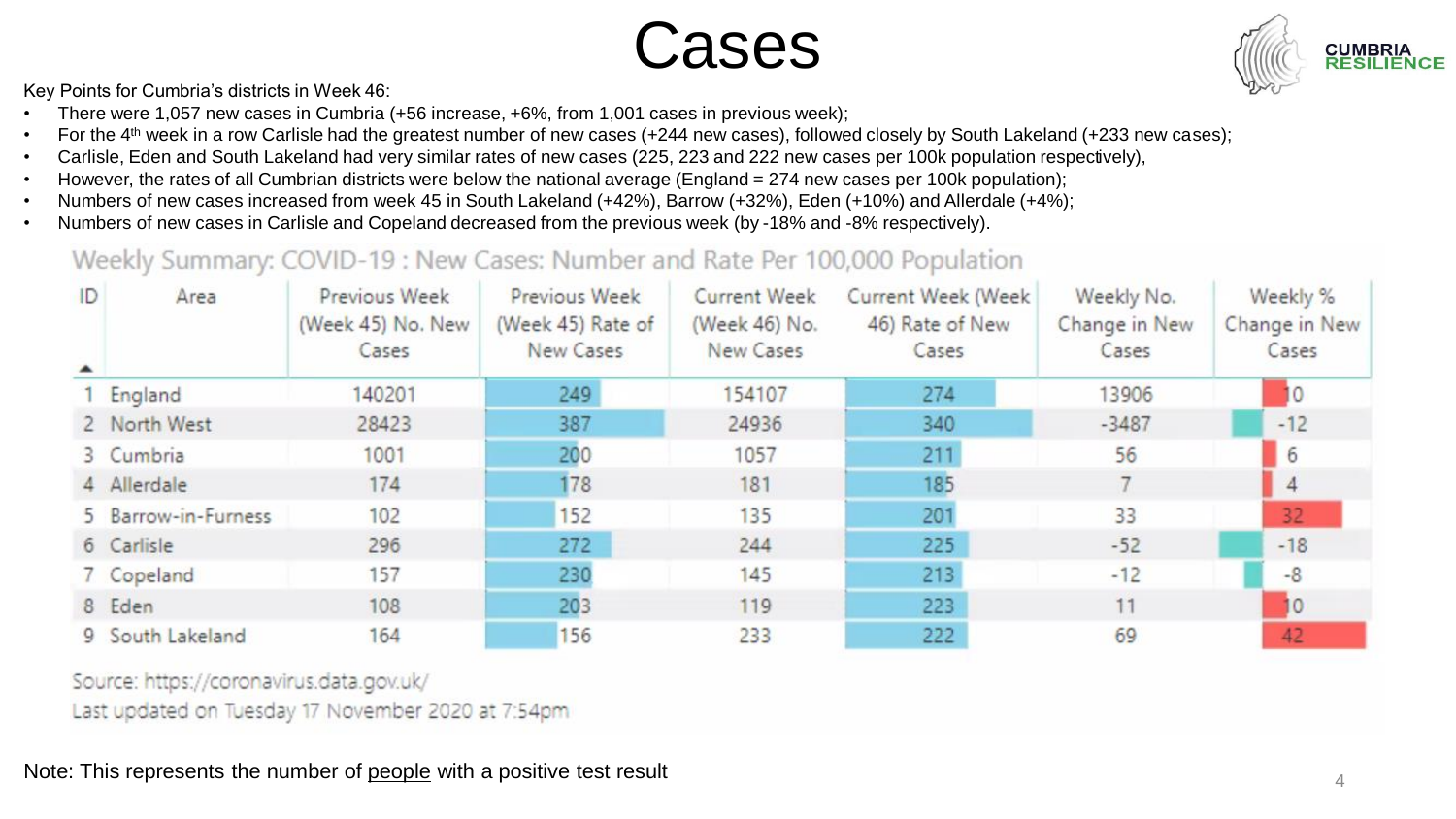Cases



Key Points for Cumbria's districts in Week 46:

- There were 1,057 new cases in Cumbria (+56 increase, +6%, from 1,001 cases in previous week);
- For the 4<sup>th</sup> week in a row Carlisle had the greatest number of new cases (+244 new cases), followed closely by South Lakeland (+233 new cases);
- Carlisle, Eden and South Lakeland had very similar rates of new cases (225, 223 and 222 new cases per 100k population respectively),
- However, the rates of all Cumbrian districts were below the national average (England = 274 new cases per 100k population);
- Numbers of new cases increased from week 45 in South Lakeland (+42%), Barrow (+32%), Eden (+10%) and Allerdale (+4%);
- Numbers of new cases in Carlisle and Copeland decreased from the previous week (by -18% and -8% respectively).

#### Weekly Summary: COVID-19 : New Cases: Number and Rate Per 100,000 Population

| ID<br>$\blacktriangle$ | Area                | Previous Week<br>(Week 45) No. New<br>Cases | Previous Week<br>(Week 45) Rate of<br>New Cases | <b>Current Week</b><br>(Week 46) No.<br>New Cases | Current Week (Week<br>46) Rate of New<br>Cases | Weekly No.<br>Change in New<br>Cases | Weekly %<br>Change in New<br>Cases |
|------------------------|---------------------|---------------------------------------------|-------------------------------------------------|---------------------------------------------------|------------------------------------------------|--------------------------------------|------------------------------------|
|                        | 1 England           | 140201                                      | 249                                             | 154107                                            | 274                                            | 13906                                | 10                                 |
|                        | 2 North West        | 28423                                       | 387                                             | 24936                                             | 340                                            | $-3487$                              | $-12$                              |
|                        | 3 Cumbria           | 1001                                        | 200                                             | 1057                                              | 211                                            | 56                                   | 6                                  |
|                        | 4 Allerdale         | 174                                         | 178                                             | 181                                               | 185                                            |                                      | $\overline{4}$                     |
|                        | 5 Barrow-in-Furness | 102                                         | 152                                             | 135                                               | 201                                            | 33                                   | 32                                 |
|                        | 6 Carlisle          | 296                                         | 272                                             | 244                                               | 225                                            | $-52$                                | $-18$                              |
|                        | 7 Copeland          | 157                                         | 230                                             | 145                                               | 213                                            | $-12$                                | $-8$                               |
|                        | 8 Eden              | 108                                         | 203                                             | 119                                               | 223                                            | 11                                   | 10                                 |
|                        | 9 South Lakeland    | 164                                         | 156                                             | 233                                               | 222                                            | 69                                   | 42                                 |

Source: https://coronavirus.data.gov.uk/

Last updated on Tuesday 17 November 2020 at 7:54pm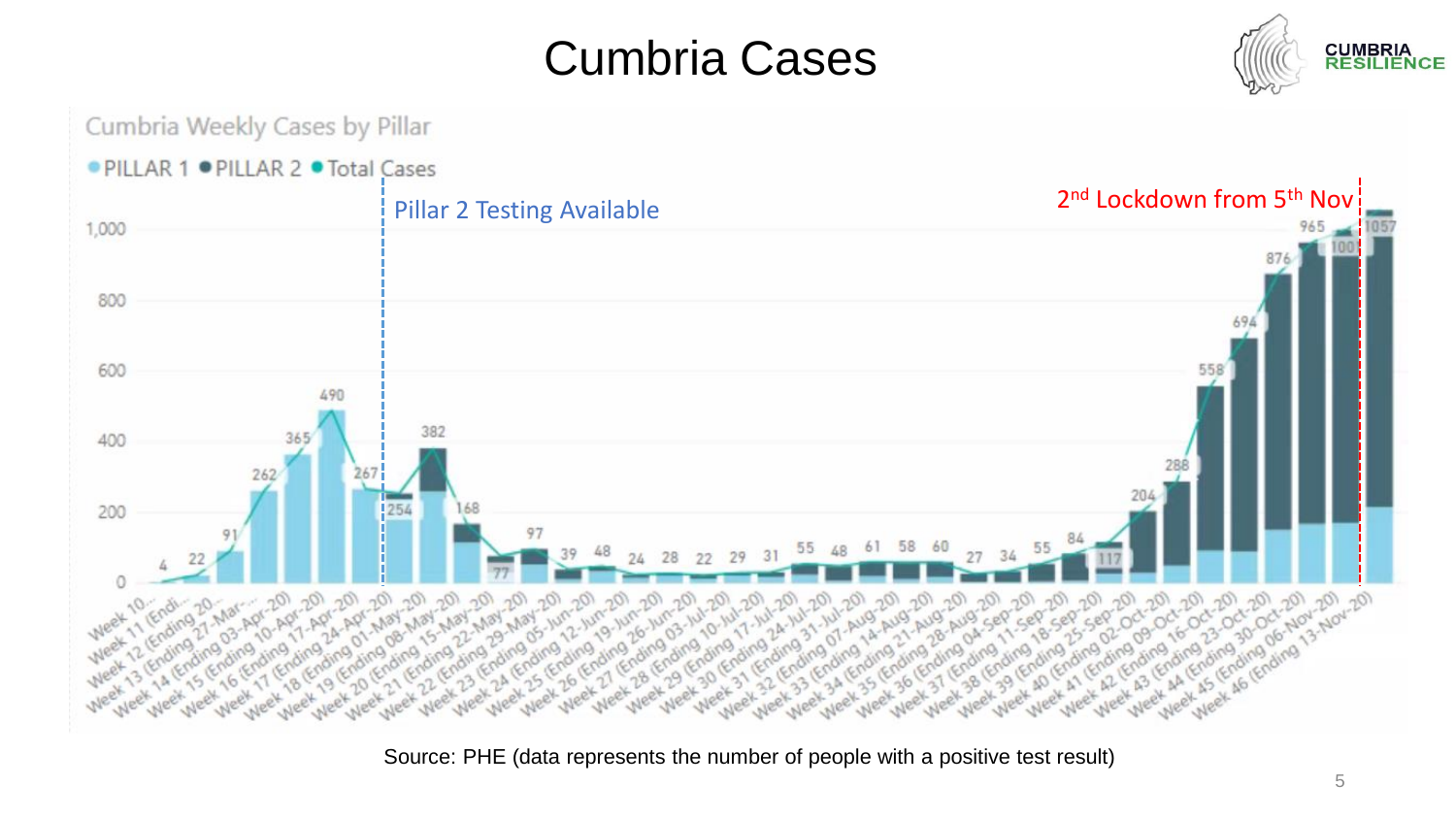### Cumbria Cases





Source: PHE (data represents the number of people with a positive test result)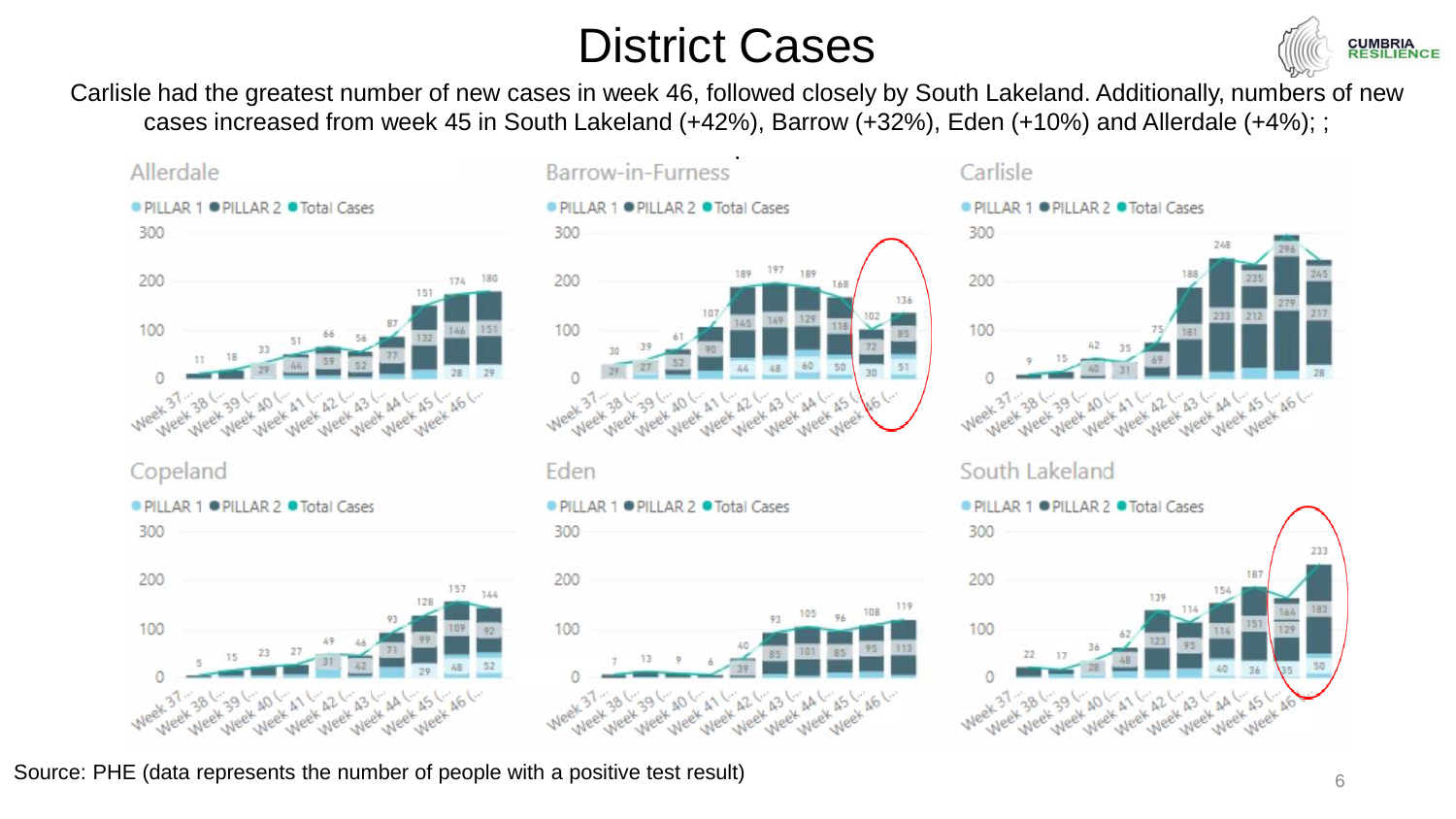### District Cases



Carlisle had the greatest number of new cases in week 46, followed closely by South Lakeland. Additionally, numbers of new cases increased from week 45 in South Lakeland (+42%), Barrow (+32%), Eden (+10%) and Allerdale (+4%); ;

.









#### Carlisle

● PILLAR 1 ● PILLAR 2 ● Total Cases



#### South Lakeland



Source: PHE (data represents the number of people with a positive test result)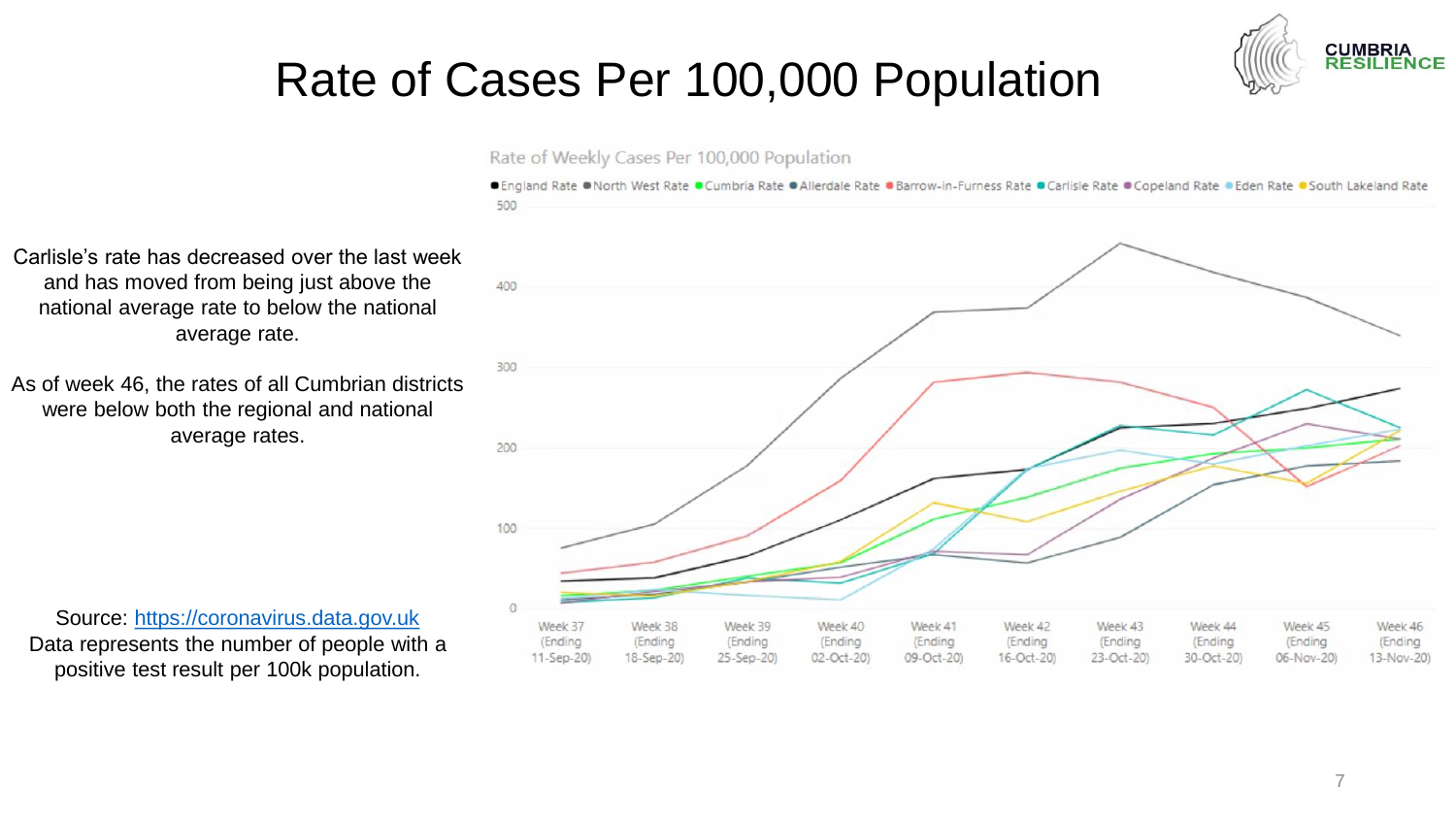

### Rate of Cases Per 100,000 Population



● England Rate ● North West Rate ● Cumbria Rate ● Allerdale Rate ● Barrow-in-Furness Rate ● Carlisle Rate ● Copeland Rate ● Eden Rate ● South Lakeland Rate 500



Carlisle's rate has decreased over the last week and has moved from being just above the national average rate to below the national average rate.

As of week 46, the rates of all Cumbrian districts were below both the regional and national average rates.

Source: [https://coronavirus.data.gov.uk](https://coronavirus.data.gov.uk/) Data represents the number of people with a positive test result per 100k population.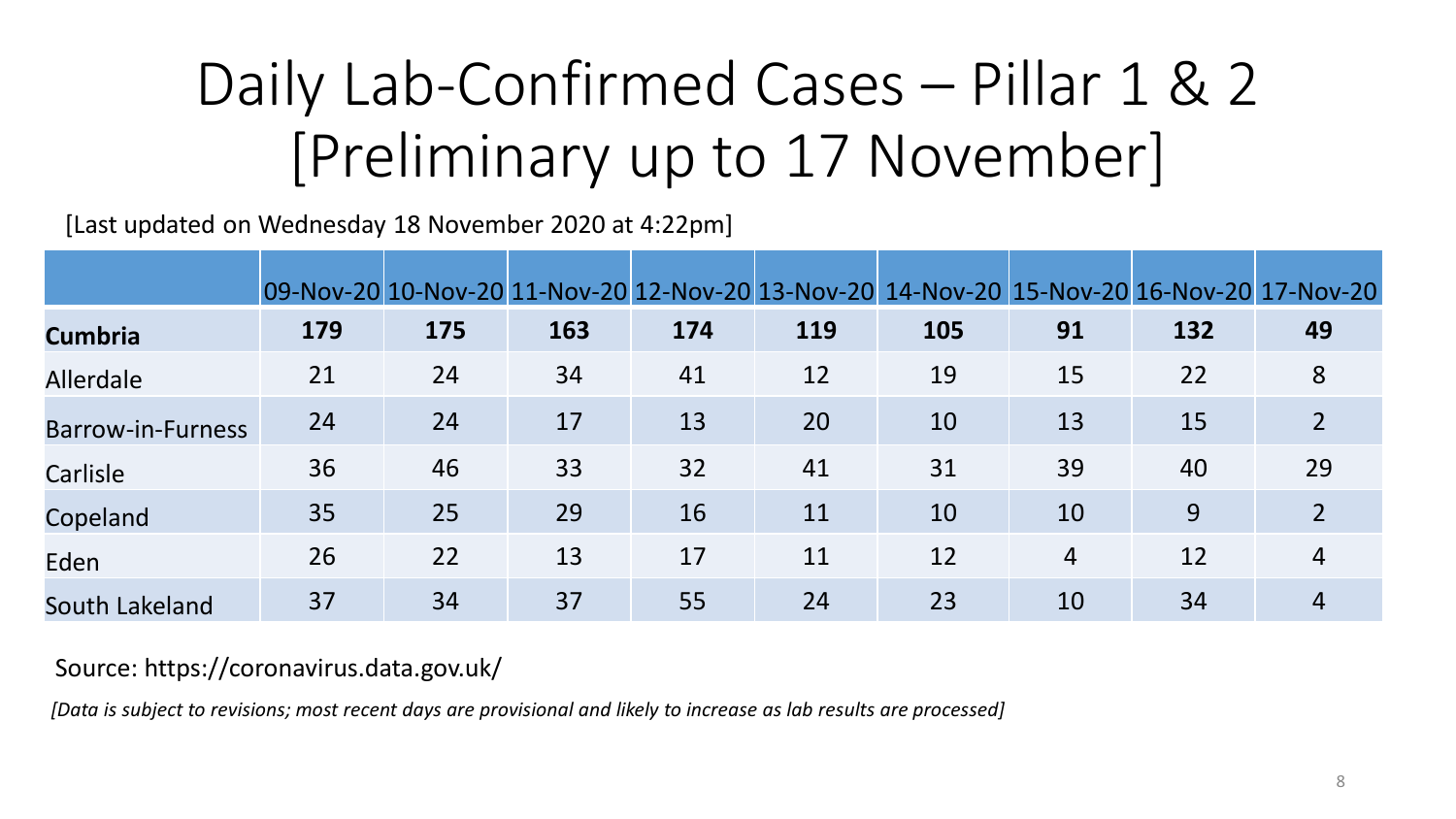# Daily Lab-Confirmed Cases – Pillar 1 & 2 [Preliminary up to 17 November]

[Last updated on Wednesday 18 November 2020 at 4:22pm]

|                   |     |     |     |     |     | 09-Nov-20 10-Nov-20 11-Nov-20 12-Nov-20 13-Nov-20 14-Nov-20 15-Nov-20 16-Nov-20 17-Nov-20 |                |     |                |
|-------------------|-----|-----|-----|-----|-----|-------------------------------------------------------------------------------------------|----------------|-----|----------------|
| <b>Cumbria</b>    | 179 | 175 | 163 | 174 | 119 | 105                                                                                       | 91             | 132 | 49             |
| <b>Allerdale</b>  | 21  | 24  | 34  | 41  | 12  | 19                                                                                        | 15             | 22  | 8              |
| Barrow-in-Furness | 24  | 24  | 17  | 13  | 20  | 10                                                                                        | 13             | 15  | $\overline{2}$ |
| Carlisle          | 36  | 46  | 33  | 32  | 41  | 31                                                                                        | 39             | 40  | 29             |
| Copeland          | 35  | 25  | 29  | 16  | 11  | 10                                                                                        | 10             | 9   | $\overline{2}$ |
| Eden              | 26  | 22  | 13  | 17  | 11  | 12                                                                                        | $\overline{4}$ | 12  | 4              |
| South Lakeland    | 37  | 34  | 37  | 55  | 24  | 23                                                                                        | 10             | 34  | 4              |

#### Source: https://coronavirus.data.gov.uk/

*[Data is subject to revisions; most recent days are provisional and likely to increase as lab results are processed]*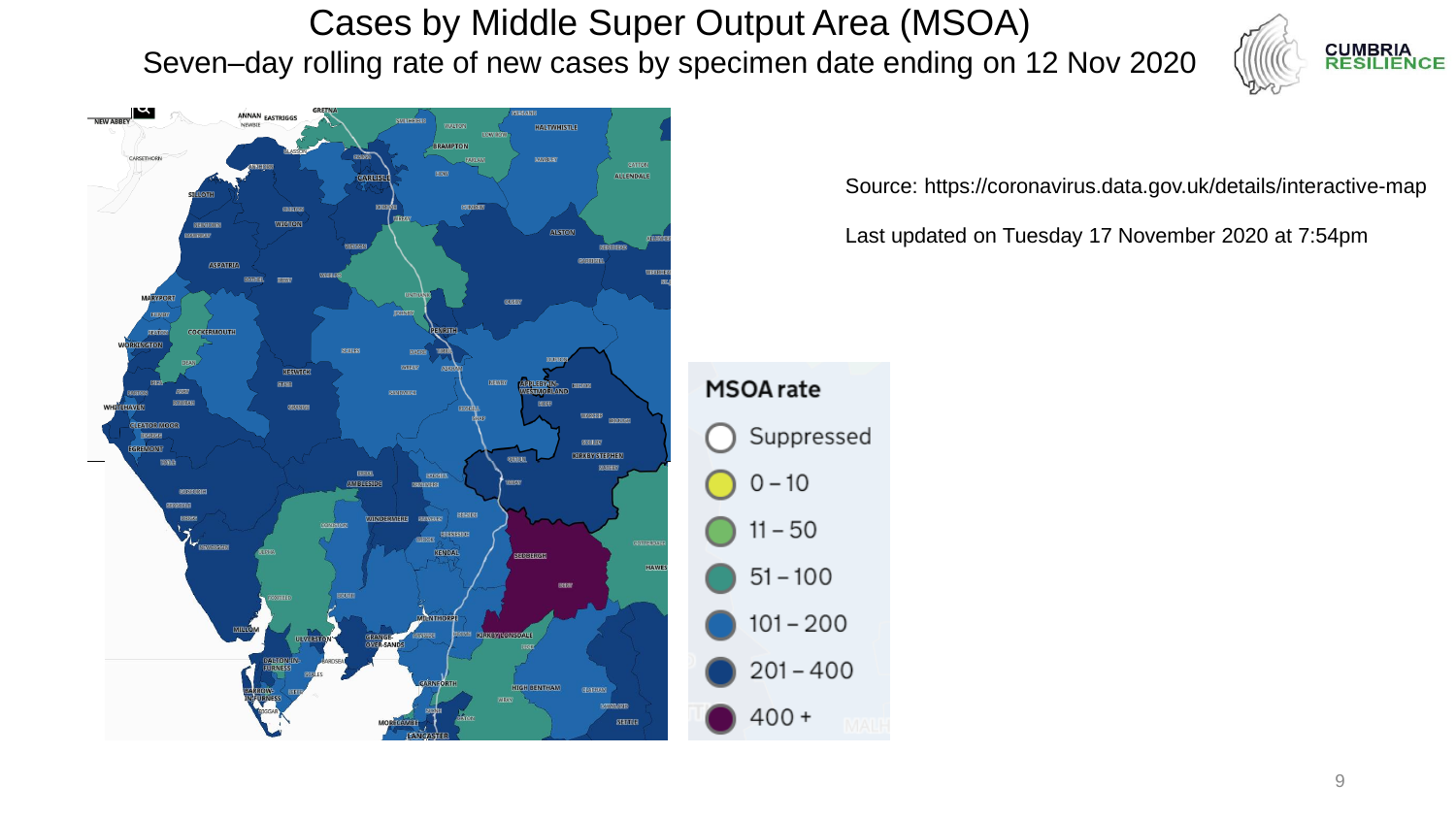Cases by Middle Super Output Area (MSOA) Seven–day rolling rate of new cases by specimen date ending on 12 Nov 2020





Source: https://coronavirus.data.gov.uk/details/interactive-map

Last updated on Tuesday 17 November 2020 at 7:54pm

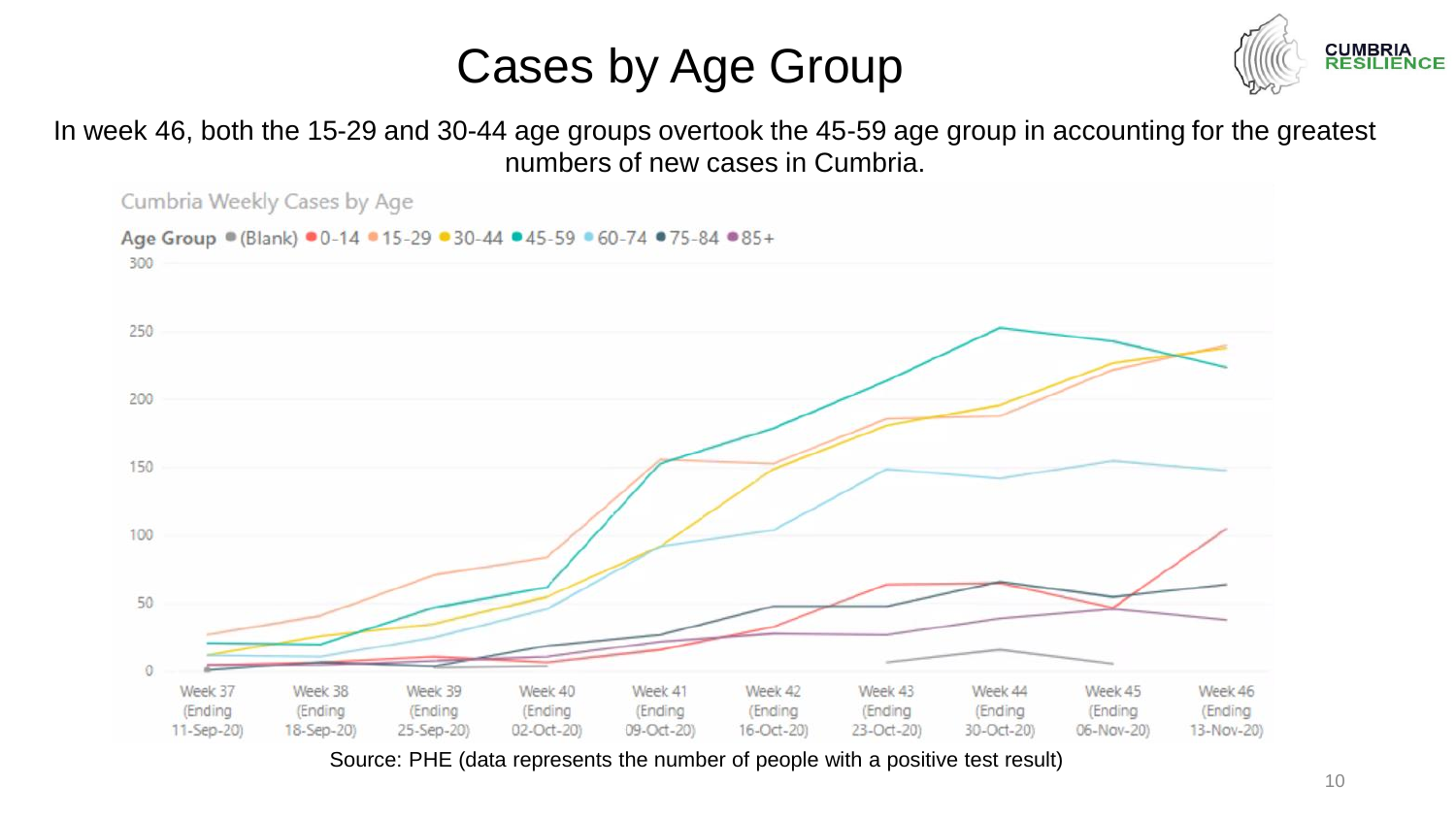### Cases by Age Group



In week 46, both the 15-29 and 30-44 age groups overtook the 45-59 age group in accounting for the greatest numbers of new cases in Cumbria.



Source: PHE (data represents the number of people with a positive test result)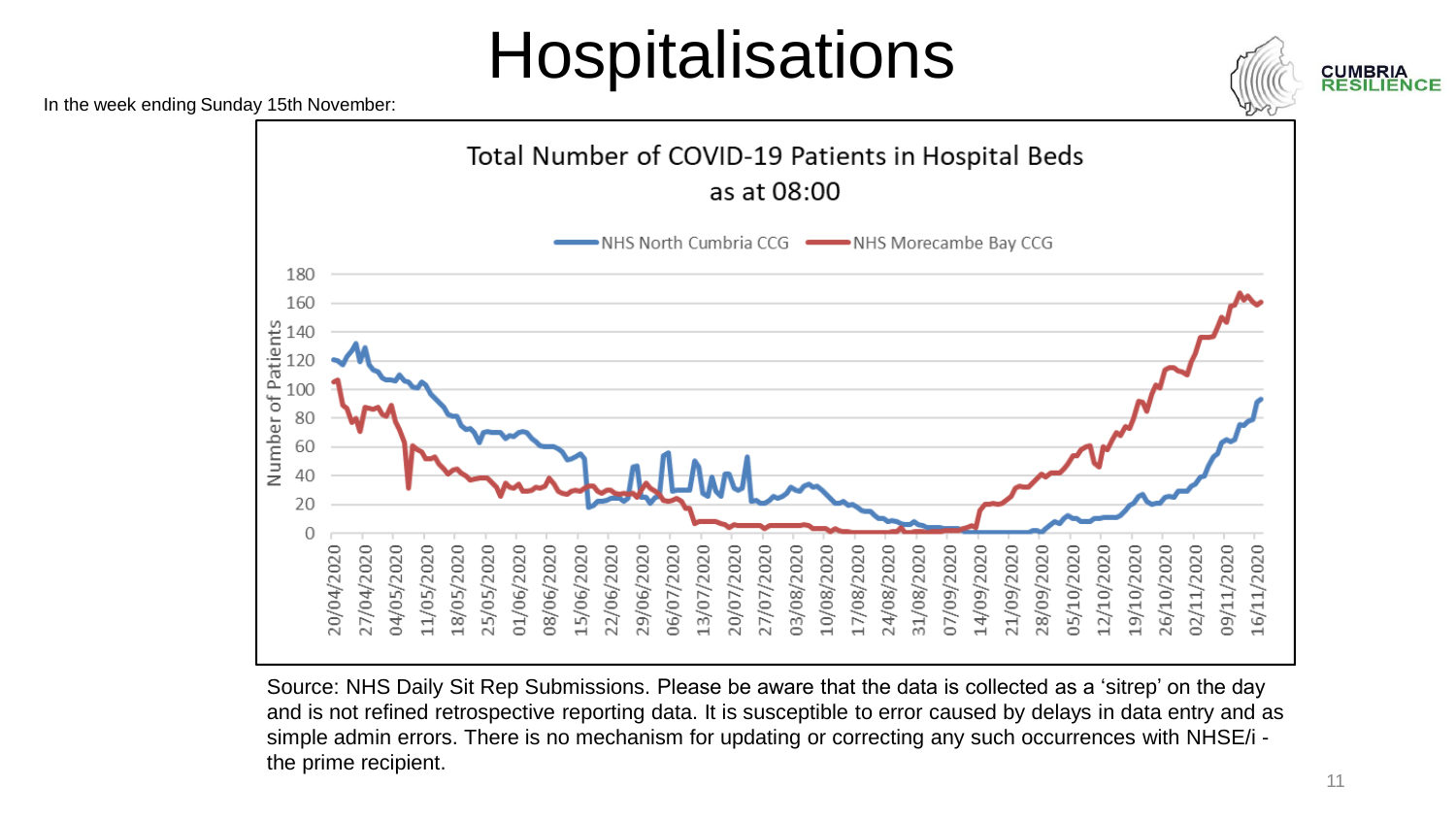# **Hospitalisations**



In the week ending Sunday 15th November:



Source: NHS Daily Sit Rep Submissions. Please be aware that the data is collected as a 'sitrep' on the day and is not refined retrospective reporting data. It is susceptible to error caused by delays in data entry and as simple admin errors. There is no mechanism for updating or correcting any such occurrences with NHSE/i the prime recipient.